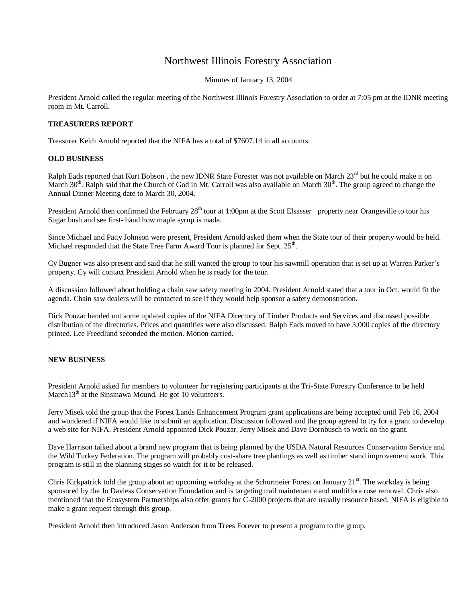## Northwest Illinois Forestry Association

Minutes of January 13, 2004

President Arnold called the regular meeting of the Northwest Illinois Forestry Association to order at 7:05 pm at the IDNR meeting room in Mt. Carroll.

## **TREASURERS REPORT**

Treasurer Keith Arnold reported that the NIFA has a total of \$7607.14 in all accounts.

## **OLD BUSINESS**

Ralph Eads reported that Kurt Bobson, the new IDNR State Forester was not available on March 23<sup>rd</sup> but he could make it on March  $30<sup>th</sup>$ . Ralph said that the Church of God in Mt. Carroll was also available on March  $30<sup>th</sup>$ . The group agreed to change the Annual Dinner Meeting date to March 30, 2004.

President Arnold then confirmed the February 28<sup>th</sup> tour at 1:00pm at the Scott Elsasser property near Orangeville to tour his Sugar bush and see first- hand how maple syrup is made.

Since Michael and Patty Johnson were present, President Arnold asked them when the State tour of their property would be held. Michael responded that the State Tree Farm Award Tour is planned for Sept.  $25<sup>th</sup>$ .

Cy Bugner was also present and said that he still wanted the group to tour his sawmill operation that is set up at Warren Parker's property. Cy will contact President Arnold when he is ready for the tour.

A discussion followed about holding a chain saw safety meeting in 2004. President Arnold stated that a tour in Oct. would fit the agenda. Chain saw dealers will be contacted to see if they would help sponsor a safety demonstration.

Dick Pouzar handed out some updated copies of the NIFA Directory of Timber Products and Services and discussed possible distribution of the directories. Prices and quantities were also discussed. Ralph Eads moved to have 3,000 copies of the directory printed. Lee Freedlund seconded the motion. Motion carried.

## **NEW BUSINESS**

.

President Arnold asked for members to volunteer for registering participants at the Tri-State Forestry Conference to be held March13<sup>th</sup> at the Sinsinawa Mound. He got 10 volunteers.

Jerry Misek told the group that the Forest Lands Enhancement Program grant applications are being accepted until Feb 16, 2004 and wondered if NIFA would like to submit an application. Discussion followed and the group agreed to try for a grant to develop a web site for NIFA. President Arnold appointed Dick Pouzar, Jerry Misek and Dave Dornbusch to work on the grant.

Dave Harrison talked about a brand new program that is being planned by the USDA Natural Resources Conservation Service and the Wild Turkey Federation. The program will probably cost-share tree plantings as well as timber stand improvement work. This program is still in the planning stages so watch for it to be released.

Chris Kirkpatrick told the group about an upcoming workday at the Schurmeier Forest on January  $21<sup>st</sup>$ . The workday is being sponsored by the Jo Daviess Conservation Foundation and is targeting trail maintenance and multiflora rose removal. Chris also mentioned that the Ecosystem Partnerships also offer grants for C-2000 projects that are usually resource based. NIFA is eligible to make a grant request through this group.

President Arnold then introduced Jason Anderson from Trees Forever to present a program to the group.